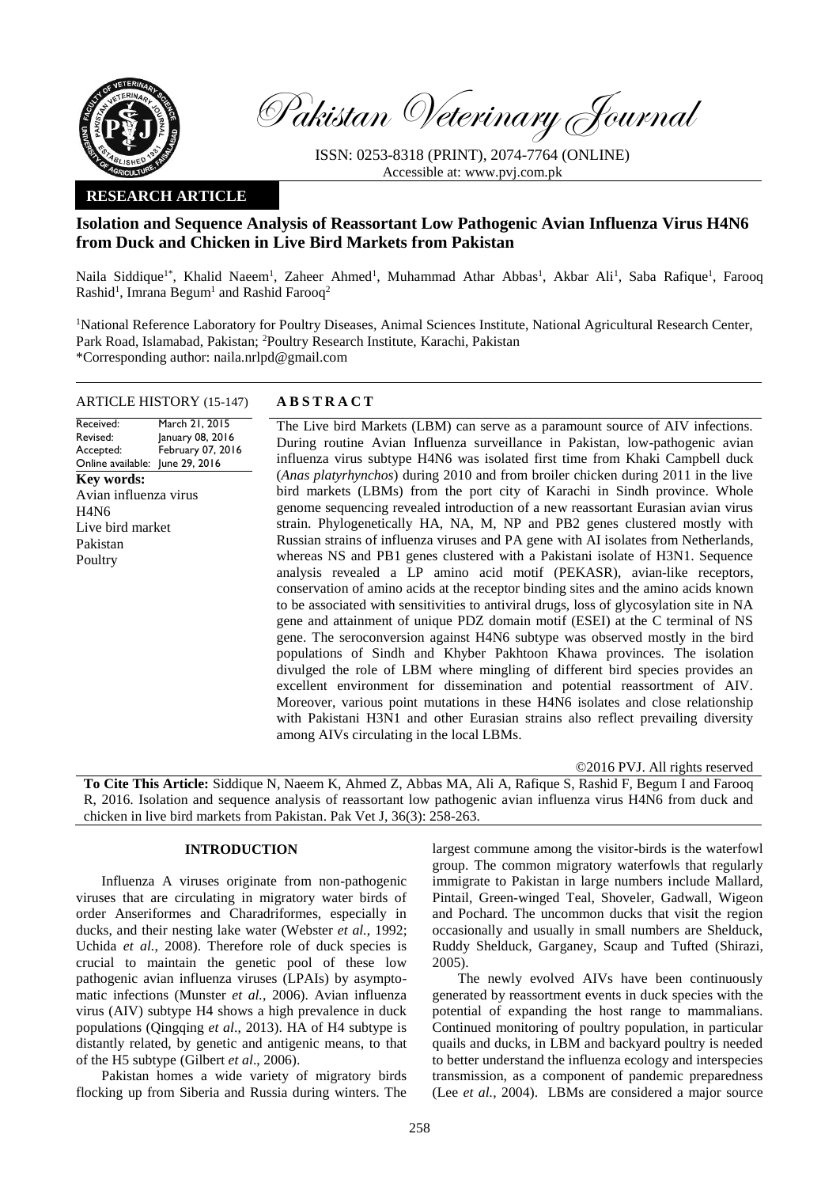

Pakistan Veterinary Journal

ISSN: 0253-8318 (PRINT), 2074-7764 (ONLINE) Accessible at: [www.pvj.com.pk](http://www.pvj.com.pk/)

## **RESEARCH ARTICLE**

## **Isolation and Sequence Analysis of Reassortant Low Pathogenic Avian Influenza Virus H4N6 from Duck and Chicken in Live Bird Markets from Pakistan**

Naila Siddique<sup>1\*</sup>, Khalid Naeem<sup>1</sup>, Zaheer Ahmed<sup>1</sup>, Muhammad Athar Abbas<sup>1</sup>, Akbar Ali<sup>1</sup>, Saba Rafique<sup>1</sup>, Farooq Rashid<sup>1</sup>, Imrana Begum<sup>1</sup> and Rashid Farooq<sup>2</sup>

<sup>1</sup>National Reference Laboratory for Poultry Diseases, Animal Sciences Institute, National Agricultural Research Center, Park Road, Islamabad, Pakistan; <sup>2</sup>Poultry Research Institute, Karachi, Pakistan \*Corresponding author: naila.nrlpd@gmail.com

# ARTICLE HISTORY (15-147) **A B S T R A C T**

Received: Revised: Accepted: Online available: June 29, 2016 March 21, 2015 January 08, 2016 February 07, 2016 **Key words:**  Avian influenza virus H4N6 Live bird market Pakistan **Poultry** 

The Live bird Markets (LBM) can serve as a paramount source of AIV infections. During routine Avian Influenza surveillance in Pakistan, low-pathogenic avian influenza virus subtype H4N6 was isolated first time from Khaki Campbell duck (*Anas platyrhynchos*) during 2010 and from broiler chicken during 2011 in the live bird markets (LBMs) from the port city of Karachi in Sindh province. Whole genome sequencing revealed introduction of a new reassortant Eurasian avian virus strain. Phylogenetically HA, NA, M, NP and PB2 genes clustered mostly with Russian strains of influenza viruses and PA gene with AI isolates from Netherlands, whereas NS and PB1 genes clustered with a Pakistani isolate of H3N1. Sequence analysis revealed a LP amino acid motif (PEKASR), avian-like receptors, conservation of amino acids at the receptor binding sites and the amino acids known to be associated with sensitivities to antiviral drugs, loss of glycosylation site in NA gene and attainment of unique PDZ domain motif (ESEI) at the C terminal of NS gene. The seroconversion against H4N6 subtype was observed mostly in the bird populations of Sindh and Khyber Pakhtoon Khawa provinces. The isolation divulged the role of LBM where mingling of different bird species provides an excellent environment for dissemination and potential reassortment of AIV. Moreover, various point mutations in these H4N6 isolates and close relationship with Pakistani H3N1 and other Eurasian strains also reflect prevailing diversity among AIVs circulating in the local LBMs.

©2016 PVJ. All rights reserved

**To Cite This Article:** Siddique N, Naeem K, Ahmed Z, Abbas MA, Ali A, Rafique S, Rashid F, Begum I and Farooq R, 2016. Isolation and sequence analysis of reassortant low pathogenic avian influenza virus H4N6 from duck and chicken in live bird markets from Pakistan. Pak Vet J, 36(3): 258-263.

### **INTRODUCTION**

Influenza A viruses originate from non-pathogenic viruses that are circulating in migratory water birds of order Anseriformes and Charadriformes, especially in ducks, and their nesting lake water (Webster *et al.*, 1992; Uchida *et al.*, 2008). Therefore role of duck species is crucial to maintain the genetic pool of these low pathogenic avian influenza viruses (LPAIs) by asymptomatic infections (Munster *et al.*, 2006). Avian influenza virus (AIV) subtype H4 shows a high prevalence in duck populations (Qingqing *et al*., 2013). HA of H4 subtype is distantly related, by genetic and antigenic means, to that of the H5 subtype [\(Gilbert](file:///G:/H4%20Viruus%20research/H4%20PAPER/AIV%20H4%20paper%20PVJ%20format%202015-02-16.docx%23_ENREF_7) *et al*., 2006).

Pakistan homes a wide variety of migratory birds flocking up from Siberia and Russia during winters. The largest commune among the visitor-birds is the waterfowl group. The common migratory waterfowls that regularly immigrate to Pakistan in large numbers include Mallard, Pintail, Green-winged Teal, Shoveler, Gadwall, Wigeon and Pochard. The uncommon ducks that visit the region occasionally and usually in small numbers are Shelduck, Ruddy Shelduck, Garganey, Scaup and Tufted (Shirazi, 2005).

The newly evolved AIVs have been continuously generated by reassortment events in duck species with the potential of expanding the host range to mammalians. Continued monitoring of poultry population, in particular quails and ducks, in LBM and backyard poultry is needed to better understand the influenza ecology and interspecies transmission, as a component of pandemic preparedness (Lee *et al.*, 2004). LBMs are considered a major source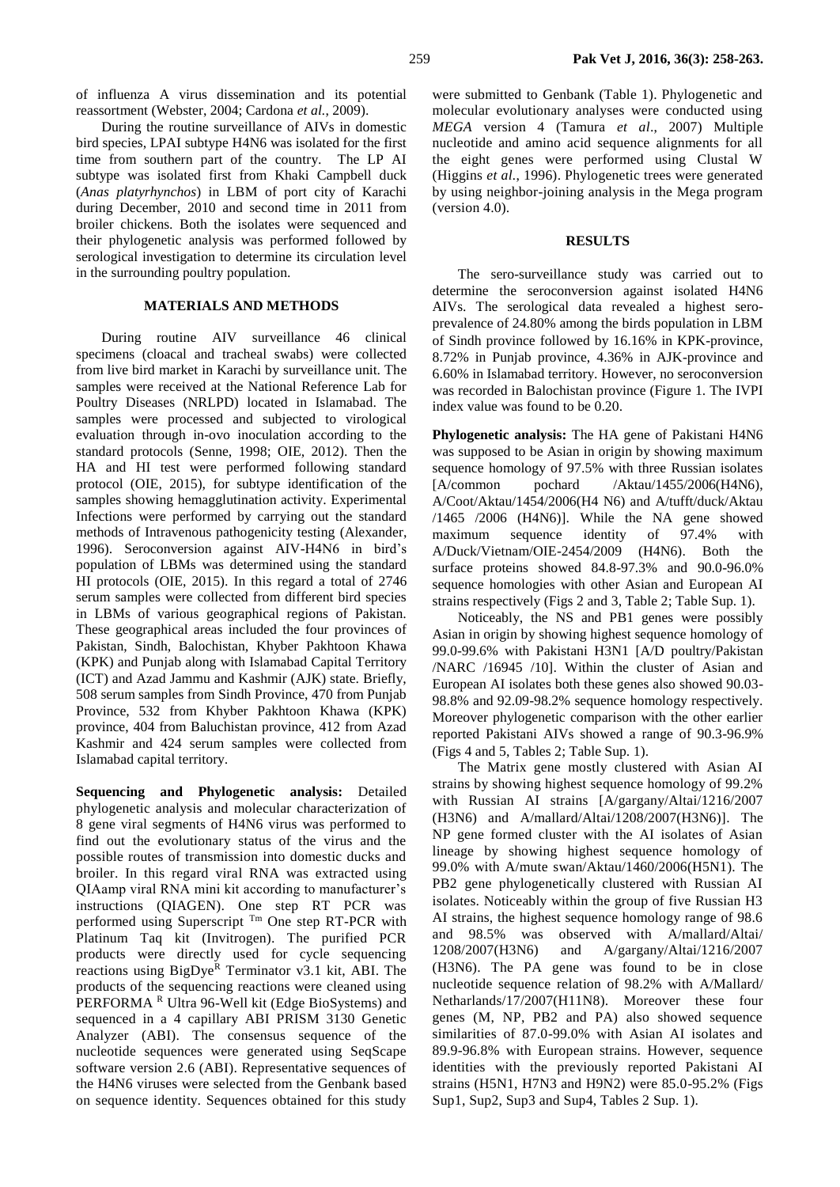During the routine surveillance of AIVs in domestic bird species, LPAI subtype H4N6 was isolated for the first time from southern part of the country. The LP AI subtype was isolated first from Khaki Campbell duck (*Anas platyrhynchos*) in LBM of port city of Karachi during December, 2010 and second time in 2011 from broiler chickens. Both the isolates were sequenced and their phylogenetic analysis was performed followed by serological investigation to determine its circulation level in the surrounding poultry population.

## **MATERIALS AND METHODS**

During routine AIV surveillance 46 clinical specimens (cloacal and tracheal swabs) were collected from live bird market in Karachi by surveillance unit. The samples were received at the National Reference Lab for Poultry Diseases (NRLPD) located in Islamabad. The samples were processed and subjected to virological evaluation through in-ovo inoculation according to the standard protocols [\(Senne, 1998;](file:///G:/H4%20Viruus%20research/H4%20PAPER/AIV%20H4%20paper%20PVJ%20format%202015-02-16.docx%23_ENREF_18) OIE, 2012). Then the HA and HI test were performed following standard protocol (OIE, 2015), for subtype identification of the samples showing hemagglutination activity. Experimental Infections were performed by carrying out the standard methods of Intravenous pathogenicity testing [\(Alexander,](file:///G:/H4%20Viruus%20research/H4%20PAPER/AIV%20H4%20paper%20PVJ%20format%202015-02-16.docx%23_ENREF_1)  [1996\)](file:///G:/H4%20Viruus%20research/H4%20PAPER/AIV%20H4%20paper%20PVJ%20format%202015-02-16.docx%23_ENREF_1). Seroconversion against AIV-H4N6 in bird's population of LBMs was determined using the standard HI protocols (OIE, 2015). In this regard a total of 2746 serum samples were collected from different bird species in LBMs of various geographical regions of Pakistan. These geographical areas included the four provinces of Pakistan, Sindh, Balochistan, Khyber Pakhtoon Khawa (KPK) and Punjab along with Islamabad Capital Territory (ICT) and Azad Jammu and Kashmir (AJK) state. Briefly, 508 serum samples from Sindh Province, 470 from Punjab Province, 532 from Khyber Pakhtoon Khawa (KPK) province, 404 from Baluchistan province, 412 from Azad Kashmir and 424 serum samples were collected from Islamabad capital territory.

**Sequencing and Phylogenetic analysis:** Detailed phylogenetic analysis and molecular characterization of 8 gene viral segments of H4N6 virus was performed to find out the evolutionary status of the virus and the possible routes of transmission into domestic ducks and broiler. In this regard viral RNA was extracted using QIAamp viral RNA mini kit according to manufacturer's instructions (QIAGEN). One step RT PCR was performed using Superscript  $<sup>Tm</sup>$  One step RT-PCR with</sup> Platinum Taq kit (Invitrogen). The purified PCR products were directly used for cycle sequencing reactions using  $BigDye^{R}$  Terminator v3.1 kit, ABI. The products of the sequencing reactions were cleaned using PERFORMA<sup>R</sup> Ultra 96-Well kit (Edge BioSystems) and sequenced in a 4 capillary ABI PRISM 3130 Genetic Analyzer (ABI). The consensus sequence of the nucleotide sequences were generated using SeqScape software version 2.6 (ABI). Representative sequences of the H4N6 viruses were selected from the Genbank based on sequence identity. Sequences obtained for this study

were submitted to Genbank (Table 1). Phylogenetic and molecular evolutionary analyses were conducted using *MEGA* version 4 [\(Tamura](file:///G:/H4%20Viruus%20research/H4%20PAPER/AIV%20H4%20paper%20PVJ%20format%202015-02-16.docx%23_ENREF_23) *et al*., 2007) Multiple nucleotide and amino acid sequence alignments for all the eight genes were performed using Clustal W (Higgins *et al.*, 1996). Phylogenetic trees were generated by using neighbor-joining analysis in the Mega program (version 4.0).

#### **RESULTS**

The sero-surveillance study was carried out to determine the seroconversion against isolated H4N6 AIVs. The serological data revealed a highest seroprevalence of 24.80% among the birds population in LBM of Sindh province followed by 16.16% in KPK-province, 8.72% in Punjab province, 4.36% in AJK-province and 6.60% in Islamabad territory. However, no seroconversion was recorded in Balochistan province (Figure 1. The IVPI index value was found to be 0.20.

**Phylogenetic analysis:** The HA gene of Pakistani H4N6 was supposed to be Asian in origin by showing maximum sequence homology of 97.5% with three Russian isolates [A/common pochard /Aktau/1455/2006(H4N6), A/Coot/Aktau/1454/2006(H4 N6) and A/tufft/duck/Aktau /1465 /2006 (H4N6)]. While the NA gene showed maximum sequence identity of 97.4% with A/Duck/Vietnam/OIE-2454/2009 (H4N6). Both the surface proteins showed 84.8-97.3% and 90.0-96.0% sequence homologies with other Asian and European AI strains respectively (Figs 2 and 3, Table 2; Table Sup. 1).

Noticeably, the NS and PB1 genes were possibly Asian in origin by showing highest sequence homology of 99.0-99.6% with Pakistani H3N1 [A/D poultry/Pakistan /NARC /16945 /10]. Within the cluster of Asian and European AI isolates both these genes also showed 90.03- 98.8% and 92.09-98.2% sequence homology respectively. Moreover phylogenetic comparison with the other earlier reported Pakistani AIVs showed a range of 90.3-96.9% (Figs 4 and 5, Tables 2; Table Sup. 1).

The Matrix gene mostly clustered with Asian AI strains by showing highest sequence homology of 99.2% with Russian AI strains [A/gargany/Altai/1216/2007 (H3N6) and A/mallard/Altai/1208/2007(H3N6)]. The NP gene formed cluster with the AI isolates of Asian lineage by showing highest sequence homology of 99.0% with A/mute swan/Aktau/1460/2006(H5N1). The PB2 gene phylogenetically clustered with Russian AI isolates. Noticeably within the group of five Russian H3 AI strains, the highest sequence homology range of 98.6 and 98.5% was observed with A/mallard/Altai/ 1208/2007(H3N6) and A/gargany/Altai/1216/2007 (H3N6). The PA gene was found to be in close nucleotide sequence relation of 98.2% with A/Mallard/ Netharlands/17/2007(H11N8). Moreover these four genes (M, NP, PB2 and PA) also showed sequence similarities of 87.0-99.0% with Asian AI isolates and 89.9-96.8% with European strains. However, sequence identities with the previously reported Pakistani AI strains (H5N1, H7N3 and H9N2) were 85.0-95.2% (Figs Sup1, Sup2, Sup3 and Sup4, Tables 2 Sup. 1).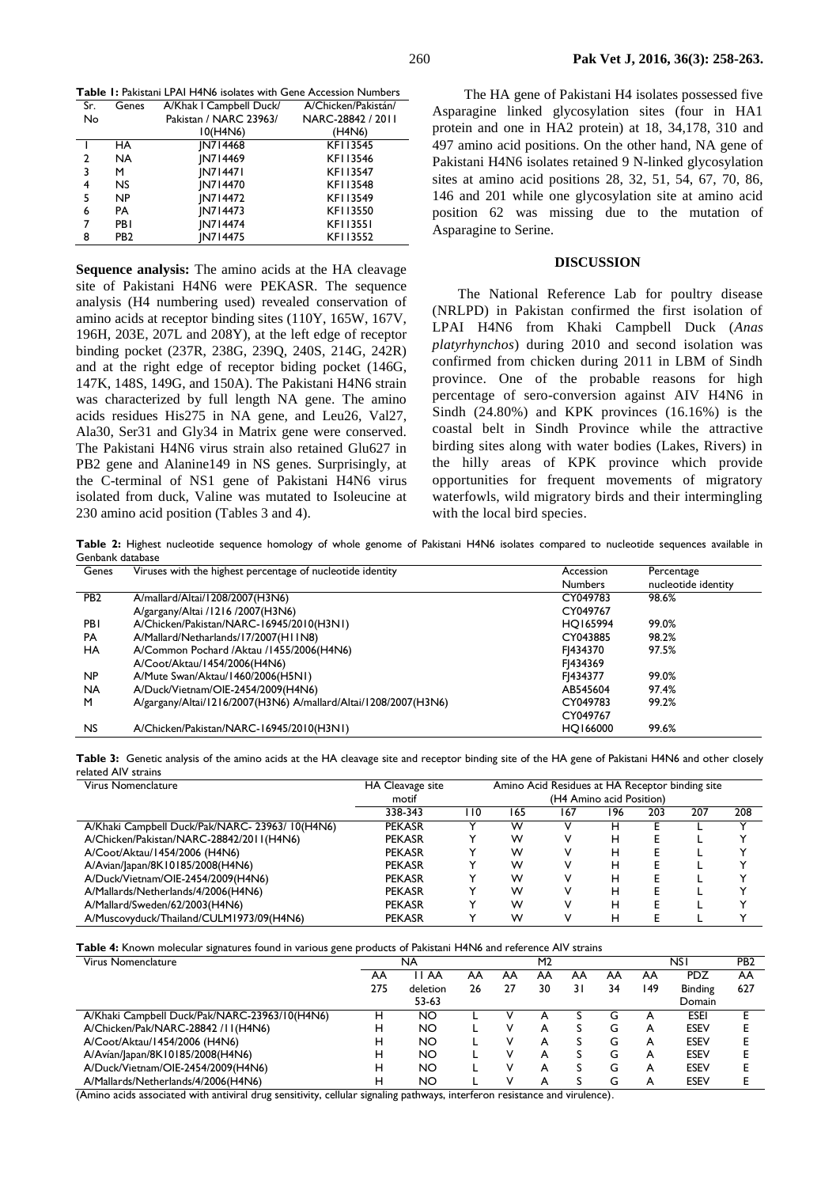**Table 1:** Pakistani LPAI H4N6 isolates with Gene Accession Numbers

| Sr. | Genes           | A/Khak I Campbell Duck/ | A/Chicken/Pakistán/ |
|-----|-----------------|-------------------------|---------------------|
| No  |                 | Pakistan / NARC 23963/  | NARC-28842 / 2011   |
|     |                 | 10(H4N6)                | (H4N6)              |
|     | HA              | IN714468                | KF113545            |
| 2   | <b>NA</b>       | IN714469                | KF113546            |
| 3   | м               | <b>IN714471</b>         | KF113547            |
| 4   | NS.             | IN714470                | KF113548            |
| 5   | NP              | IN714472                | KFI13549            |
| 6   | PA              | IN714473                | KFI13550            |
| 7   | PB I            | IN714474                | <b>KFI13551</b>     |
| 8   | PB <sub>2</sub> | IN714475                | KFI13552            |

**Sequence analysis:** The amino acids at the HA cleavage site of Pakistani H4N6 were PEKASR. The sequence analysis (H4 numbering used) revealed conservation of amino acids at receptor binding sites (110Y, 165W, 167V, 196H, 203E, 207L and 208Y), at the left edge of receptor binding pocket (237R, 238G, 239Q, 240S, 214G, 242R) and at the right edge of receptor biding pocket (146G, 147K, 148S, 149G, and 150A). The Pakistani H4N6 strain was characterized by full length NA gene. The amino acids residues His275 in NA gene, and Leu26, Val27, Ala30, Ser31 and Gly34 in Matrix gene were conserved. The Pakistani H4N6 virus strain also retained Glu627 in PB2 gene and Alanine149 in NS genes. Surprisingly, at the C-terminal of NS1 gene of Pakistani H4N6 virus isolated from duck, Valine was mutated to Isoleucine at 230 amino acid position (Tables 3 and 4).

The HA gene of Pakistani H4 isolates possessed five Asparagine linked glycosylation sites (four in HA1 protein and one in HA2 protein) at 18, 34,178, 310 and 497 amino acid positions. On the other hand, NA gene of Pakistani H4N6 isolates retained 9 N-linked glycosylation sites at amino acid positions 28, 32, 51, 54, 67, 70, 86, 146 and 201 while one glycosylation site at amino acid position 62 was missing due to the mutation of Asparagine to Serine.

#### **DISCUSSION**

The National Reference Lab for poultry disease (NRLPD) in Pakistan confirmed the first isolation of LPAI H4N6 from Khaki Campbell Duck (*Anas platyrhynchos*) during 2010 and second isolation was confirmed from chicken during 2011 in LBM of Sindh province. One of the probable reasons for high percentage of sero-conversion against AIV H4N6 in Sindh (24.80%) and KPK provinces (16.16%) is the coastal belt in Sindh Province while the attractive birding sites along with water bodies (Lakes, Rivers) in the hilly areas of KPK province which provide opportunities for frequent movements of migratory waterfowls, wild migratory birds and their intermingling with the local bird species.

**Table 2:** Highest nucleotide sequence homology of whole genome of Pakistani H4N6 isolates compared to nucleotide sequences available in Genbank database

| Genes           | Viruses with the highest percentage of nucleotide identity      | Accession      | Percentage          |
|-----------------|-----------------------------------------------------------------|----------------|---------------------|
|                 |                                                                 | <b>Numbers</b> | nucleotide identity |
| PB <sub>2</sub> | A/mallard/Altai/1208/2007(H3N6)                                 | CY049783       | 98.6%               |
|                 | A/gargany/Altai /1216 /2007(H3N6)                               | CY049767       |                     |
| <b>PBI</b>      | A/Chicken/Pakistan/NARC-16945/2010(H3N1)                        | HO165994       | 99.0%               |
| <b>PA</b>       | A/Mallard/Netharlands/17/2007(H11N8)                            | CY043885       | 98.2%               |
| HA              | A/Common Pochard /Aktau /1455/2006(H4N6)                        | FI434370       | 97.5%               |
|                 | A/Coot/Aktau/1454/2006(H4N6)                                    | F1434369       |                     |
| NP.             | A/Mute Swan/Aktau/1460/2006(H5N1)                               | FI434377       | 99.0%               |
| <b>NA</b>       | A/Duck/Vietnam/OIE-2454/2009(H4N6)                              | AB545604       | 97.4%               |
| M               | A/gargany/Altai/1216/2007(H3N6) A/mallard/Altai/1208/2007(H3N6) | CY049783       | 99.2%               |
|                 |                                                                 | CY049767       |                     |
| <b>NS</b>       | A/Chicken/Pakistan/NARC-16945/2010(H3N1)                        | HO166000       | 99.6%               |

|                     |  | Table 3: Genetic analysis of the amino acids at the HA cleavage site and receptor binding site of the HA gene of Pakistani H4N6 and other closely |  |  |  |  |  |
|---------------------|--|---------------------------------------------------------------------------------------------------------------------------------------------------|--|--|--|--|--|
| related AIV strains |  |                                                                                                                                                   |  |  |  |  |  |

| Virus Nomenclature                             | HA Cleavage site |    | Amino Acid Residues at HA Receptor binding site |     |     |     |     |     |  |  |  |
|------------------------------------------------|------------------|----|-------------------------------------------------|-----|-----|-----|-----|-----|--|--|--|
|                                                | motif            |    | (H4 Amino acid Position)                        |     |     |     |     |     |  |  |  |
|                                                | 338-343          | 10 | 165                                             | 167 | 196 | 203 | 207 | 208 |  |  |  |
| A/Khaki Campbell Duck/Pak/NARC- 23963/10(H4N6) | <b>PEKASR</b>    |    | w                                               |     | н   |     |     |     |  |  |  |
| A/Chicken/Pakistan/NARC-28842/2011(H4N6)       | <b>PEKASR</b>    |    | w                                               |     | н   |     |     |     |  |  |  |
| A/Coot/Aktau/1454/2006 (H4N6)                  | <b>PEKASR</b>    |    | w                                               |     | н   |     |     |     |  |  |  |
| A/Avian/Japan/8K10185/2008(H4N6)               | <b>PEKASR</b>    |    | w                                               |     | н   |     |     |     |  |  |  |
| A/Duck/Vietnam/OIE-2454/2009(H4N6)             | <b>PEKASR</b>    |    | w                                               |     | н   |     |     |     |  |  |  |
| A/Mallards/Netherlands/4/2006(H4N6)            | <b>PEKASR</b>    |    | w                                               |     | н   |     |     |     |  |  |  |
| A/Mallard/Sweden/62/2003(H4N6)                 | <b>PEKASR</b>    |    | w                                               |     | н   |     |     |     |  |  |  |
| A/Muscovyduck/Thailand/CULM1973/09(H4N6)       | <b>PEKASR</b>    |    | w                                               |     |     |     |     |     |  |  |  |

#### **Table 4:** Known molecular signatures found in various gene products of Pakistani H4N6 and reference AIV strains

| Virus Nomenclature                            | NA  |           |    | M <sub>2</sub> |    |    |    |     | PB <sub>2</sub> |     |
|-----------------------------------------------|-----|-----------|----|----------------|----|----|----|-----|-----------------|-----|
|                                               | AA  | I I AA    | AA | ΑA             | AA | AA | AA | AA  | <b>PDZ</b>      | AA  |
|                                               | 275 | deletion  | 26 |                | 30 | 31 | 34 | 149 | <b>Binding</b>  | 627 |
|                                               |     | 53-63     |    |                |    |    |    |     | Domain          |     |
| A/Khaki Campbell Duck/Pak/NARC-23963/10(H4N6) | н   | NO        |    |                |    |    | G  | A   | <b>ESEI</b>     |     |
| A/Chicken/Pak/NARC-28842 /II(H4N6)            | н   | NO        |    |                |    |    | G  | A   | <b>ESEV</b>     |     |
| A/Coot/Aktau/1454/2006 (H4N6)                 | н   | <b>NO</b> |    |                | А  |    | G  | A   | <b>ESEV</b>     |     |
| A/Avían/Japan/8K10185/2008(H4N6)              | н   | NO        |    |                | А  |    | G  | A   | <b>ESEV</b>     |     |
| A/Duck/Vietnam/OIE-2454/2009(H4N6)            | н   | NO.       |    |                | А  |    | G  | A   | <b>ESEV</b>     |     |
| A/Mallards/Netherlands/4/2006(H4N6)           | н   | NO        |    |                | А  |    | G  | A   | <b>ESEV</b>     |     |

(Amino acids associated with antiviral drug sensitivity, cellular signaling pathways, interferon resistance and virulence).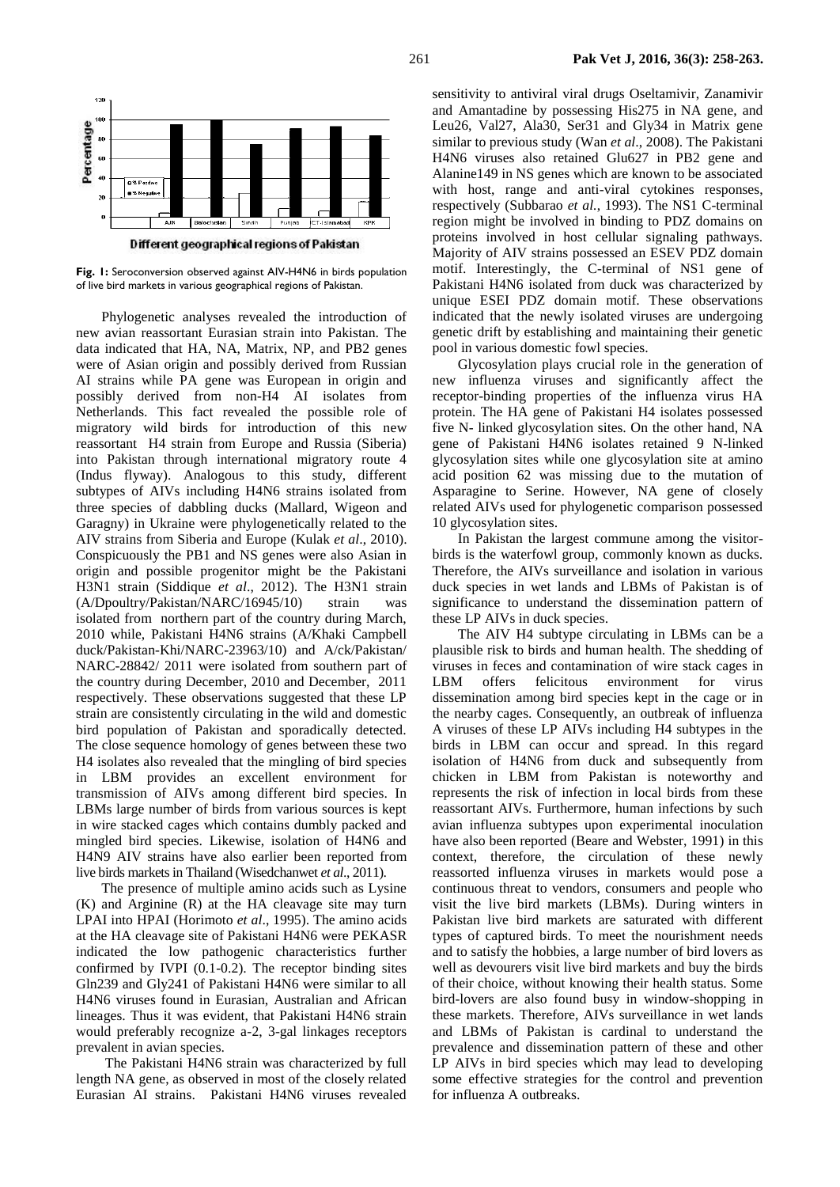

**Fig. 1:** Seroconversion observed against AIV-H4N6 in birds population of live bird markets in various geographical regions of Pakistan.

Phylogenetic analyses revealed the introduction of new avian reassortant Eurasian strain into Pakistan. The data indicated that HA, NA, Matrix, NP, and PB2 genes were of Asian origin and possibly derived from Russian AI strains while PA gene was European in origin and possibly derived from non-H4 AI isolates from Netherlands. This fact revealed the possible role of migratory wild birds for introduction of this new reassortant H4 strain from Europe and Russia (Siberia) into Pakistan through international migratory route 4 (Indus flyway). Analogous to this study, different subtypes of AIVs including H4N6 strains isolated from three species of dabbling ducks (Mallard, Wigeon and Garagny) in Ukraine were phylogenetically related to the AIV strains from Siberia and Europe (Kulak *et al*[., 2010\)](file:///G:/H4%20Viruus%20research/H4%20PAPER/AIV%20H4%20paper%20PVJ%20format%202015-02-16.docx%23_ENREF_13). Conspicuously the PB1 and NS genes were also Asian in origin and possible progenitor might be the Pakistani H3N1 strain [\(Siddique](file:///G:/H4%20Viruus%20research/H4%20PAPER/AIV%20H4%20paper%20PVJ%20format%202015-02-16.docx%23_ENREF_19) *et al*., 2012). The H3N1 strain (A/Dpoultry/Pakistan/NARC/16945/10) strain was isolated from northern part of the country during March, 2010 while, Pakistani H4N6 strains (A/Khaki Campbell duck/Pakistan-Khi/NARC-23963/10) and A/ck/Pakistan/ NARC-28842/ 2011 were isolated from southern part of the country during December, 2010 and December, 2011 respectively. These observations suggested that these LP strain are consistently circulating in the wild and domestic bird population of Pakistan and sporadically detected. The close sequence homology of genes between these two H4 isolates also revealed that the mingling of bird species in LBM provides an excellent environment for transmission of AIVs among different bird species. In LBMs large number of birds from various sources is kept in wire stacked cages which contains dumbly packed and mingled bird species. Likewise, isolation of H4N6 and H4N9 AIV strains have also earlier been reported from live birds markets in Thailand [\(Wisedchanwet](file:///G:/H4%20Viruus%20research/H4%20PAPER/AIV%20H4%20paper%20PVJ%20format%202015-02-16.docx%23_ENREF_29) *et al*., 2011).

The presence of multiple amino acids such as Lysine (K) and Arginine (R) at the HA cleavage site may turn LPAI into HPAI [\(Horimoto](file:///G:/H4%20Viruus%20research/H4%20PAPER/AIV%20H4%20paper%20PVJ%20format%202015-02-16.docx%23_ENREF_9) *et al*., 1995). The amino acids at the HA cleavage site of Pakistani H4N6 were PEKASR indicated the low pathogenic characteristics further confirmed by IVPI (0.1-0.2). The receptor binding sites Gln239 and Gly241 of Pakistani H4N6 were similar to all H4N6 viruses found in Eurasian, Australian and African lineages. Thus it was evident, that Pakistani H4N6 strain would preferably recognize a*-*2, 3-gal linkages receptors prevalent in avian species.

The Pakistani H4N6 strain was characterized by full length NA gene, as observed in most of the closely related Eurasian AI strains. Pakistani H4N6 viruses revealed

sensitivity to antiviral viral drugs Oseltamivir, Zanamivir and Amantadine by possessing His275 in NA gene, and Leu26, Val27, Ala30, Ser31 and Gly34 in Matrix gene similar to previous study (Wan *et al*[., 2008\)](file:///G:/H4%20Viruus%20research/H4%20PAPER/AIV%20H4%20paper%20PVJ%20format%202015-02-16.docx%23_ENREF_25). The Pakistani H4N6 viruses also retained Glu627 in PB2 gene and Alanine149 in NS genes which are known to be associated with host, range and anti-viral cytokines responses, respectively (Subbarao *et al.*, 1993). The NS1 C-terminal region might be involved in binding to PDZ domains on proteins involved in host cellular signaling pathways. Majority of AIV strains possessed an ESEV PDZ domain motif. Interestingly, the C-terminal of NS1 gene of Pakistani H4N6 isolated from duck was characterized by unique ESEI PDZ domain motif. These observations indicated that the newly isolated viruses are undergoing genetic drift by establishing and maintaining their genetic pool in various domestic fowl species.

Glycosylation plays crucial role in the generation of new influenza viruses and significantly affect the receptor-binding properties of the influenza virus HA protein. The HA gene of Pakistani H4 isolates possessed five N- linked glycosylation sites. On the other hand, NA gene of Pakistani H4N6 isolates retained 9 N-linked glycosylation sites while one glycosylation site at amino acid position 62 was missing due to the mutation of Asparagine to Serine. However, NA gene of closely related AIVs used for phylogenetic comparison possessed 10 glycosylation sites.

In Pakistan the largest commune among the visitorbirds is the waterfowl group, commonly known as ducks. Therefore, the AIVs surveillance and isolation in various duck species in wet lands and LBMs of Pakistan is of significance to understand the dissemination pattern of these LP AIVs in duck species.

The AIV H4 subtype circulating in LBMs can be a plausible risk to birds and human health. The shedding of viruses in feces and contamination of wire stack cages in LBM offers felicitous environment for virus dissemination among bird species kept in the cage or in the nearby cages. Consequently, an outbreak of influenza A viruses of these LP AIVs including H4 subtypes in the birds in LBM can occur and spread. In this regard isolation of H4N6 from duck and subsequently from chicken in LBM from Pakistan is noteworthy and represents the risk of infection in local birds from these reassortant AIVs. Furthermore, human infections by such avian influenza subtypes upon experimental inoculation have also been reported [\(Beare and Webster, 1991\)](file:///G:/H4%20Viruus%20research/H4%20PAPER/AIV%20H4%20paper%20PVJ%20format%202015-02-16.docx%23_ENREF_3) in this context, therefore, the circulation of these newly reassorted influenza viruses in markets would pose a continuous threat to vendors, consumers and people who visit the live bird markets (LBMs). During winters in Pakistan live bird markets are saturated with different types of captured birds. To meet the nourishment needs and to satisfy the hobbies, a large number of bird lovers as well as devourers visit live bird markets and buy the birds of their choice, without knowing their health status. Some bird-lovers are also found busy in window-shopping in these markets. Therefore, AIVs surveillance in wet lands and LBMs of Pakistan is cardinal to understand the prevalence and dissemination pattern of these and other LP AIVs in bird species which may lead to developing some effective strategies for the control and prevention for influenza A outbreaks.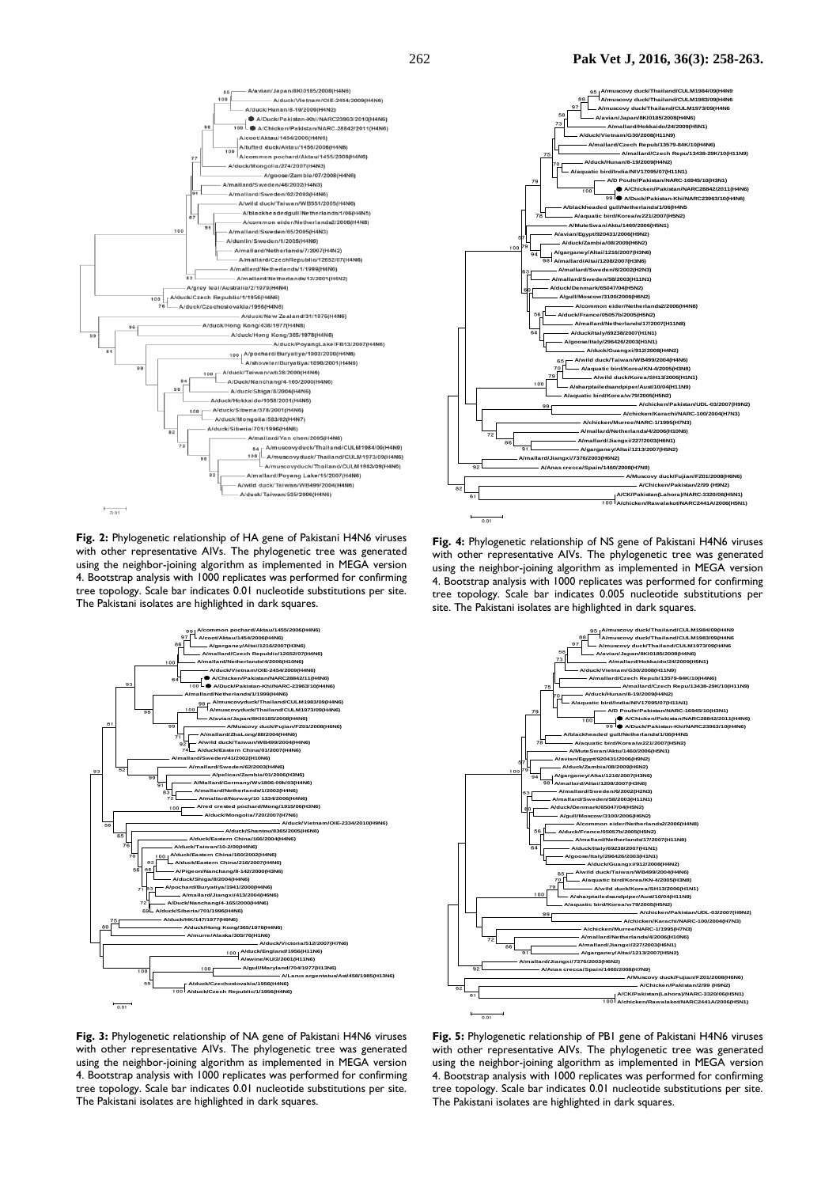

**Fig. 2:** Phylogenetic relationship of HA gene of Pakistani H4N6 viruses with other representative AIVs. The phylogenetic tree was generated using the neighbor-joining algorithm as implemented in MEGA version 4. Bootstrap analysis with 1000 replicates was performed for confirming tree topology. Scale bar indicates 0.01 nucleotide substitutions per site. The Pakistani isolates are highlighted in dark squares.



**Fig. 3:** Phylogenetic relationship of NA gene of Pakistani H4N6 viruses with other representative AIVs. The phylogenetic tree was generated using the neighbor-joining algorithm as implemented in MEGA version 4. Bootstrap analysis with 1000 replicates was performed for confirming tree topology. Scale bar indicates 0.01 nucleotide substitutions per site. The Pakistani isolates are highlighted in dark squares.



**Fig. 4:** Phylogenetic relationship of NS gene of Pakistani H4N6 viruses with other representative AIVs. The phylogenetic tree was generated using the neighbor-joining algorithm as implemented in MEGA version 4. Bootstrap analysis with 1000 replicates was performed for confirming tree topology. Scale bar indicates 0.005 nucleotide substitutions per site. The Pakistani isolates are highlighted in dark squares.



**Fig. 5:** Phylogenetic relationship of PB1 gene of Pakistani H4N6 viruses with other representative AIVs. The phylogenetic tree was generated using the neighbor-joining algorithm as implemented in MEGA version 4. Bootstrap analysis with 1000 replicates was performed for confirming tree topology. Scale bar indicates 0.01 nucleotide substitutions per site. The Pakistani isolates are highlighted in dark squares.